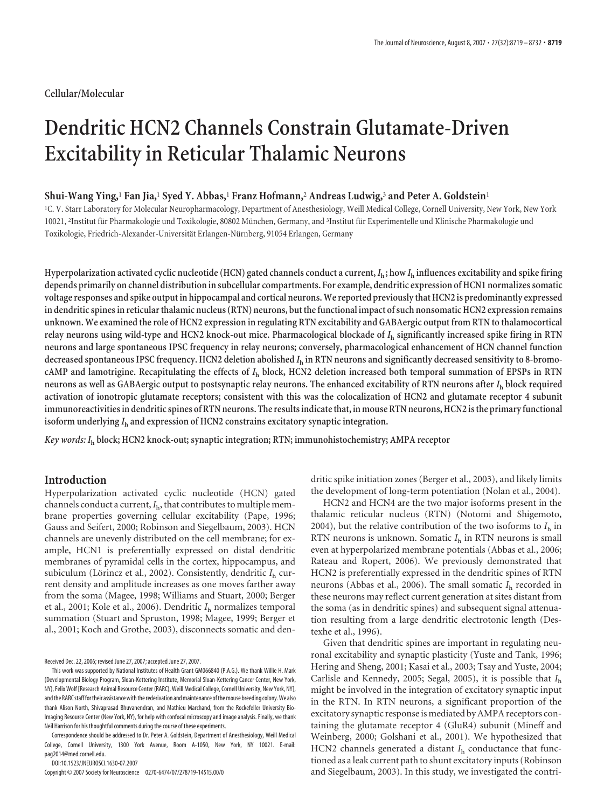## **Cellular/Molecular**

# **Dendritic HCN2 Channels Constrain Glutamate-Driven Excitability in Reticular Thalamic Neurons**

## **Shui-Wang Ying,**<sup>1</sup> **Fan Jia,**<sup>1</sup> **Syed Y. Abbas,**<sup>1</sup> **Franz Hofmann,**<sup>2</sup> **Andreas Ludwig,**<sup>3</sup> **and Peter A. Goldstein**<sup>1</sup>

1 C. V. Starr Laboratory for Molecular Neuropharmacology, Department of Anesthesiology, Weill Medical College, Cornell University, New York, New York 10021, <sup>2</sup>Institut für Pharmakologie und Toxikologie, 80802 München, Germany, and <sup>3</sup>Institut für Experimentelle und Klinische Pharmakologie und Toxikologie, Friedrich-Alexander-Universität Erlangen-Nürnberg, 91054 Erlangen, Germany

Hyperpolarization activated cyclic nucleotide (HCN) gated channels conduct a current,  $I_h$ ; how  $I_h$  influences excitability and spike firing **depends primarily on channel distribution in subcellular compartments. For example, dendritic expression of HCN1 normalizes somatic voltage responses and spike output in hippocampal and cortical neurons. We reported previouslythat HCN2 is predominantly expressed in dendritic spines in reticularthalamic nucleus (RTN) neurons, butthe functional impact of such nonsomatic HCN2 expression remains unknown. We examined the role of HCN2 expression in regulating RTN excitability and GABAergic output from RTN to thalamocortical relay neurons using wild-type and HCN2 knock-out mice. Pharmacological blockade of** *I***<sup>h</sup> significantly increased spike firing in RTN neurons and large spontaneous IPSC frequency in relay neurons; conversely, pharmacological enhancement of HCN channel function decreased spontaneous IPSC frequency. HCN2 deletion abolished** *I***<sup>h</sup> in RTN neurons and significantly decreased sensitivity to 8-bromocAMP and lamotrigine. Recapitulating the effects of** *I***<sup>h</sup> block, HCN2 deletion increased both temporal summation of EPSPs in RTN neurons as well as GABAergic output to postsynaptic relay neurons. The enhanced excitability of RTN neurons after** *I***<sup>h</sup> block required activation of ionotropic glutamate receptors; consistent with this was the colocalization of HCN2 and glutamate receptor 4 subunit immunoreactivities in dendritic spines of RTN neurons. The results indicatethat, in mouse RTN neurons, HCN2 isthe primaryfunctional isoform underlying** *I***<sup>h</sup> and expression of HCN2 constrains excitatory synaptic integration.**

*Key words: I***<sup>h</sup> block; HCN2 knock-out; synaptic integration; RTN; immunohistochemistry; AMPA receptor**

# **Introduction**

Hyperpolarization activated cyclic nucleotide (HCN) gated channels conduct a current,*I*h, that contributes to multiple membrane properties governing cellular excitability (Pape, 1996; Gauss and Seifert, 2000; Robinson and Siegelbaum, 2003). HCN channels are unevenly distributed on the cell membrane; for example, HCN1 is preferentially expressed on distal dendritic membranes of pyramidal cells in the cortex, hippocampus, and subiculum (Lörincz et al., 2002). Consistently, dendritic  $I<sub>h</sub>$  current density and amplitude increases as one moves farther away from the soma (Magee, 1998; Williams and Stuart, 2000; Berger et al., 2001; Kole et al., 2006). Dendritic *I*<sup>h</sup> normalizes temporal summation (Stuart and Spruston, 1998; Magee, 1999; Berger et al., 2001; Koch and Grothe, 2003), disconnects somatic and den-

Received Dec. 22, 2006; revised June 27, 2007; accepted June 27, 2007.

Correspondence should be addressed to Dr. Peter A. Goldstein, Department of Anesthesiology, Weill Medical College, Cornell University, 1300 York Avenue, Room A-1050, New York, NY 10021. E-mail: pag2014@med.cornell.edu.

DOI:10.1523/JNEUROSCI.1630-07.2007

Copyright © 2007 Society for Neuroscience 0270-6474/07/278719-14\$15.00/0

dritic spike initiation zones (Berger et al., 2003), and likely limits the development of long-term potentiation (Nolan et al., 2004).

HCN2 and HCN4 are the two major isoforms present in the thalamic reticular nucleus (RTN) (Notomi and Shigemoto, 2004), but the relative contribution of the two isoforms to  $I<sub>h</sub>$  in RTN neurons is unknown. Somatic *I*<sup>h</sup> in RTN neurons is small even at hyperpolarized membrane potentials (Abbas et al., 2006; Rateau and Ropert, 2006). We previously demonstrated that HCN2 is preferentially expressed in the dendritic spines of RTN neurons (Abbas et al., 2006). The small somatic *I*<sup>h</sup> recorded in these neurons may reflect current generation at sites distant from the soma (as in dendritic spines) and subsequent signal attenuation resulting from a large dendritic electrotonic length (Destexhe et al., 1996).

Given that dendritic spines are important in regulating neuronal excitability and synaptic plasticity (Yuste and Tank, 1996; Hering and Sheng, 2001; Kasai et al., 2003; Tsay and Yuste, 2004; Carlisle and Kennedy, 2005; Segal, 2005), it is possible that *I*<sup>h</sup> might be involved in the integration of excitatory synaptic input in the RTN. In RTN neurons, a significant proportion of the excitatory synaptic response is mediated by AMPA receptors containing the glutamate receptor 4 (GluR4) subunit (Mineff and Weinberg, 2000; Golshani et al., 2001). We hypothesized that HCN2 channels generated a distant *I*<sub>h</sub> conductance that functioned as a leak current path to shunt excitatory inputs (Robinson and Siegelbaum, 2003). In this study, we investigated the contri-

This work was supported by National Institutes of Health Grant GM066840 (P.A.G.). We thank Willie H. Mark (Developmental Biology Program, Sloan-Kettering Institute, Memorial Sloan-Kettering Cancer Center, New York, NY), Felix Wolf [Research Animal Resource Center (RARC), Weill Medical College, Cornell University, New York, NY], and the RARC staff for their assistance with the rederivation and maintenance of the mouse breeding colony. We also thank Alison North, Shivaprasad Bhuvanendran, and Mathieu Marchand, from the Rockefeller University Bio-Imaging Resource Center (New York, NY), for help with confocal microscopy and image analysis. Finally, we thank Neil Harrison for his thoughtful comments during the course of these experiments.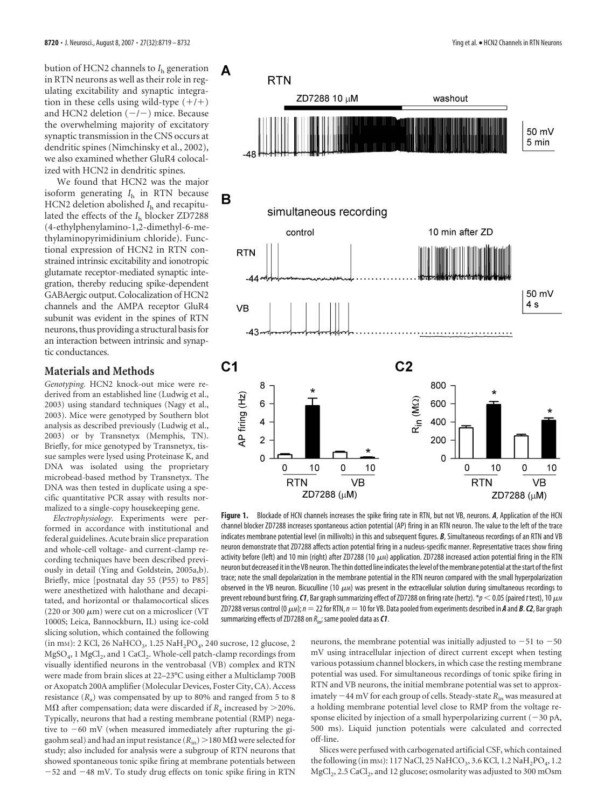bution of HCN2 channels to  $I<sub>h</sub>$  generation in RTN neurons as well as their role in regulating excitability and synaptic integration in these cells using wild-type  $(+/+)$ and HCN2 deletion  $(-/-)$  mice. Because the overwhelming majority of excitatory synaptic transmission in the CNS occurs at dendritic spines (Nimchinsky et al., 2002), we also examined whether GluR4 colocalized with HCN2 in dendritic spines.

We found that HCN2 was the major isoform generating *I*<sup>h</sup> in RTN because HCN2 deletion abolished  $I<sub>h</sub>$  and recapitulated the effects of the *I*<sup>h</sup> blocker ZD7288 (4-ethylphenylamino-1,2-dimethyl-6-methylaminopyrimidinium chloride). Functional expression of HCN2 in RTN constrained intrinsic excitability and ionotropic glutamate receptor-mediated synaptic integration, thereby reducing spike-dependent GABAergic output. Colocalization of HCN2 channels and the AMPA receptor GluR4 subunit was evident in the spines of RTN neurons, thus providing a structural basisfor an interaction between intrinsic and synaptic conductances.

## **Materials and Methods**

*Genotyping.* HCN2 knock-out mice were rederived from an established line (Ludwig et al., 2003) using standard techniques (Nagy et al., 2003). Mice were genotyped by Southern blot analysis as described previously (Ludwig et al., 2003) or by Transnetyx (Memphis, TN). Briefly, for mice genotyped by Transnetyx, tissue samples were lysed using Proteinase K, and DNA was isolated using the proprietary microbead-based method by Transnetyx. The DNA was then tested in duplicate using a specific quantitative PCR assay with results normalized to a single-copy housekeeping gene.

*Electrophysiology.* Experiments were performed in accordance with institutional and federal guidelines. Acute brain slice preparation and whole-cell voltage- and current-clamp recording techniques have been described previously in detail (Ying and Goldstein, 2005a,b). Briefly, mice [postnatal day 55 (P55) to P85] were anesthetized with halothane and decapitated, and horizontal or thalamocortical slices (220 or 300  $\mu$ m) were cut on a microslicer (VT 1000S; Leica, Bannockburn, IL) using ice-cold slicing solution, which contained the following

(in mm): 2 KCl, 26 NaHCO<sub>3</sub>, 1.25 NaH<sub>2</sub>PO<sub>4</sub>, 240 sucrose, 12 glucose, 2  $MgSO<sub>4</sub>$ , 1 MgCl<sub>2</sub>, and 1 CaCl<sub>2</sub>. Whole-cell patch-clamp recordings from visually identified neurons in the ventrobasal (VB) complex and RTN were made from brain slices at 22–23°C using either a Multiclamp 700B or Axopatch 200A amplifier (Molecular Devices, Foster City, CA). Access resistance  $(R_a)$  was compensated by up to 80% and ranged from 5 to 8 M $\Omega$  after compensation; data were discarded if  $R_a$  increased by >20%. Typically, neurons that had a resting membrane potential (RMP) negative to  $-60$  mV (when measured immediately after rupturing the gigaohm seal) and had an input resistance  $(R_{in}) > 180 M\Omega$  were selected for study; also included for analysis were a subgroup of RTN neurons that showed spontaneous tonic spike firing at membrane potentials between -52 and -48 mV. To study drug effects on tonic spike firing in RTN



**Figure 1.** Blockade of HCN channels increases the spike firing rate in RTN, but not VB, neurons. *A*, Application of the HCN channel blocker ZD7288 increases spontaneous action potential (AP) firing in an RTN neuron. The value to the left of the trace indicates membrane potential level (in millivolts) in this and subsequent figures. *B*, Simultaneous recordings of an RTN and VB neuron demonstrate that ZD7288 affects action potential firing in a nucleus-specific manner. Representative traces show firing activity before (left) and 10 min (right) after ZD7288 (10  $\mu$ M) application. ZD7288 increased action potential firing in the RTN neuron but decreased it inthe VB neuron. Thethin dotted line indicatesthe level ofthemembrane potential atthestart ofthe first trace; note the small depolarization in the membrane potential in the RTN neuron compared with the small hyperpolarization observed in the VB neuron. Bicuculline (10  $\mu$ M) was present in the extracellular solution during simultaneous recordings to prevent rebound burst firing. *C1*, Bar graph summarizing effect of ZD7288 on firing rate (hertz). \* $p < 0.05$  (paired *t* test), 10  $\mu$ M ZD7288 versus control (0  $\mu$ м);  $n = 22$  for RTN,  $n = 10$  for VB. Data pooled from experiments described in **A** and **B**. **C2**, Bar graph summarizing effects of ZD7288 on  $R_{\text{in}}$ ; same pooled data as **C1**.

neurons, the membrane potential was initially adjusted to  $-51$  to  $-50$ mV using intracellular injection of direct current except when testing various potassium channel blockers, in which case the resting membrane potential was used. For simultaneous recordings of tonic spike firing in RTN and VB neurons, the initial membrane potential was set to approximately  $-$  44 mV for each group of cells. Steady-state  $R_{\rm in}$  was measured at a holding membrane potential level close to RMP from the voltage response elicited by injection of a small hyperpolarizing current  $(-30$  pA, 500 ms). Liquid junction potentials were calculated and corrected off-line.

Slices were perfused with carbogenated artificial CSF, which contained the following (in mm): 117 NaCl, 25 NaHCO<sub>3</sub>, 3.6 KCl, 1.2 NaH<sub>2</sub>PO<sub>4</sub>, 1.2 MgCl<sub>2</sub>, 2.5 CaCl<sub>2</sub>, and 12 glucose; osmolarity was adjusted to 300 mOsm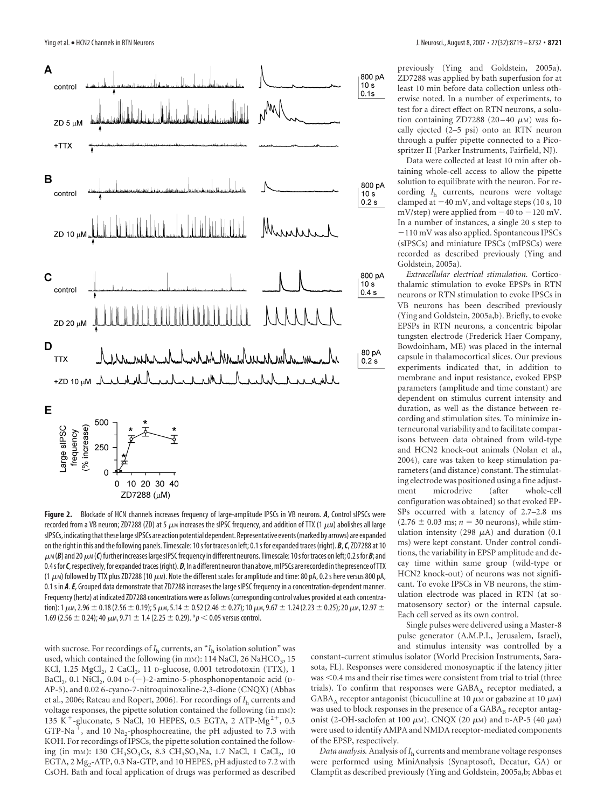

**Figure 2.** Blockade of HCN channels increases frequency of large-amplitude IPSCs in VB neurons. *A*, Control sIPSCs were recorded from a VB neuron; ZD7288 (ZD) at 5  $\mu$ M increases the sIPSC frequency, and addition of TTX (1  $\mu$ M) abolishes all large sIPSCs, indicatingthatthese largesIPSCs are action potential dependent. Representative events(marked by arrows) are expanded on the right in this and the following panels. Timescale: 10s for traces on left; 0.1s for expanded traces (right). *B*,*C*, ZD7288 at 10  $\mu$ м (**B**) and 20  $\mu$ м (**C**) further increases large sIPSC frequency in different neurons. Timescale: 10 s for traces on left; 0.2 s for **B**; and 0.4 s for C, respectively, for expanded traces (right). D, In a different neuron than above, mIPSCs are recorded in the presence of TTX (1  $\mu$ M) followed by TTX plus ZD7288 (10  $\mu$ M). Note the different scales for amplitude and time: 80 pA, 0.2 s here versus 800 pA, 0.1 s in *A*.*E*, Grouped data demonstrate that ZD7288 increases the large sIPSC frequency in a concentration-dependent manner. Frequency (hertz) at indicated ZD7288 concentrations were as follows (corresponding control values provided at each concentration): 1  $\mu$ m, 2.96  $\pm$  0.18 (2.56  $\pm$  0.19); 5  $\mu$ m, 5.14  $\pm$  0.52 (2.46  $\pm$  0.27); 10  $\mu$ m, 9.67  $\pm$  1.24 (2.23  $\pm$  0.25); 20  $\mu$ m, 12.97  $\pm$ 1.69 (2.56  $\pm$  0.24); 40  $\mu$ m, 9.71  $\pm$  1.4 (2.25  $\pm$  0.29). \* $p$  < 0.05 versus control.

with sucrose. For recordings of  $I<sub>h</sub>$  currents, an " $I<sub>h</sub>$  isolation solution" was used, which contained the following (in mM): 114 NaCl, 26 NaHCO<sub>3</sub>, 15 KCl, 1.25 MgCl<sub>2</sub>, 2 CaCl<sub>2</sub>, 11 D-glucose, 0.001 tetrodotoxin (TTX), 1 BaCl<sub>2</sub>, 0.1 NiCl<sub>2</sub>, 0.04 D-(-)-2-amino-5-phosphonopentanoic acid (D-AP-5), and 0.02 6-cyano-7-nitroquinoxaline-2,3-dione (CNQX) (Abbas et al., 2006; Rateau and Ropert, 2006). For recordings of *I*<sup>h</sup> currents and voltage responses, the pipette solution contained the following (in mM): 135 K<sup>+</sup>-gluconate, 5 NaCl, 10 HEPES, 0.5 EGTA, 2 ATP-Mg<sup>2+</sup>, 0.3 GTP-Na<sup>+</sup>, and 10 Na<sub>2</sub>-phosphocreatine, the pH adjusted to 7.3 with KOH. For recordings of IPSCs, the pipette solution contained the following (in mm): 130 CH<sub>3</sub>SO<sub>3</sub>Cs, 8.3 CH<sub>3</sub>SO<sub>3</sub>Na, 1.7 NaCl, 1 CaCl<sub>2</sub>, 10 EGTA,  $2 \text{ Mg}_2$ -ATP, 0.3 Na-GTP, and 10 HEPES, pH adjusted to 7.2 with CsOH. Bath and focal application of drugs was performed as described previously (Ying and Goldstein, 2005a). ZD7288 was applied by bath superfusion for at least 10 min before data collection unless otherwise noted. In a number of experiments, to test for a direct effect on RTN neurons, a solution containing ZD7288 (20-40  $\mu$ M) was focally ejected (2–5 psi) onto an RTN neuron through a puffer pipette connected to a Picospritzer II (Parker Instruments, Fairfield, NJ).

Data were collected at least 10 min after obtaining whole-cell access to allow the pipette solution to equilibrate with the neuron. For recording *I*<sup>h</sup> currents, neurons were voltage clamped at  $-40$  mV, and voltage steps (10 s, 10  $mV$ /step) were applied from  $-40$  to  $-120$  mV. In a number of instances, a single 20 s step to -110 mV was also applied. Spontaneous IPSCs (sIPSCs) and miniature IPSCs (mIPSCs) were recorded as described previously (Ying and Goldstein, 2005a).

*Extracellular electrical stimulation.* Corticothalamic stimulation to evoke EPSPs in RTN neurons or RTN stimulation to evoke IPSCs in VB neurons has been described previously (Ying and Goldstein, 2005a,b). Briefly, to evoke EPSPs in RTN neurons, a concentric bipolar tungsten electrode (Frederick Haer Company, Bowdoinham, ME) was placed in the internal capsule in thalamocortical slices. Our previous experiments indicated that, in addition to membrane and input resistance, evoked EPSP parameters (amplitude and time constant) are dependent on stimulus current intensity and duration, as well as the distance between recording and stimulation sites. To minimize interneuronal variability and to facilitate comparisons between data obtained from wild-type and HCN2 knock-out animals (Nolan et al., 2004), care was taken to keep stimulation parameters (and distance) constant. The stimulating electrode was positioned using a fine adjustment microdrive (after whole-cell configuration was obtained) so that evoked EP-SPs occurred with a latency of 2.7–2.8 ms  $(2.76 \pm 0.03 \text{ ms}; n = 30 \text{ neurons})$ , while stimulation intensity (298  $\mu$ A) and duration (0.1 ms) were kept constant. Under control conditions, the variability in EPSP amplitude and decay time within same group (wild-type or HCN2 knock-out) of neurons was not significant. To evoke IPSCs in VB neurons, the stimulation electrode was placed in RTN (at somatosensory sector) or the internal capsule. Each cell served as its own control.

Single pulses were delivered using a Master-8 pulse generator (A.M.P.I., Jerusalem, Israel), and stimulus intensity was controlled by a

constant-current stimulus isolator (World Precision Instruments, Sarasota, FL). Responses were considered monosynaptic if the latency jitter  $was < 0.4$  ms and their rise times were consistent from trial to trial (three trials). To confirm that responses were GABA<sub>A</sub> receptor mediated, a GABA<sub>A</sub> receptor antagonist (bicuculline at 10  $\mu$ M or gabazine at 10  $\mu$ M) was used to block responses in the presence of a GABA<sub>B</sub> receptor antagonist (2-OH-saclofen at 100  $\mu$ m). CNQX (20  $\mu$ m) and D-AP-5 (40  $\mu$ m) were used to identify AMPA and NMDA receptor-mediated components of the EPSP, respectively.

*Data analysis.* Analysis of *I*<sup>h</sup> currents and membrane voltage responses were performed using MiniAnalysis (Synaptosoft, Decatur, GA) or Clampfit as described previously (Ying and Goldstein, 2005a,b; Abbas et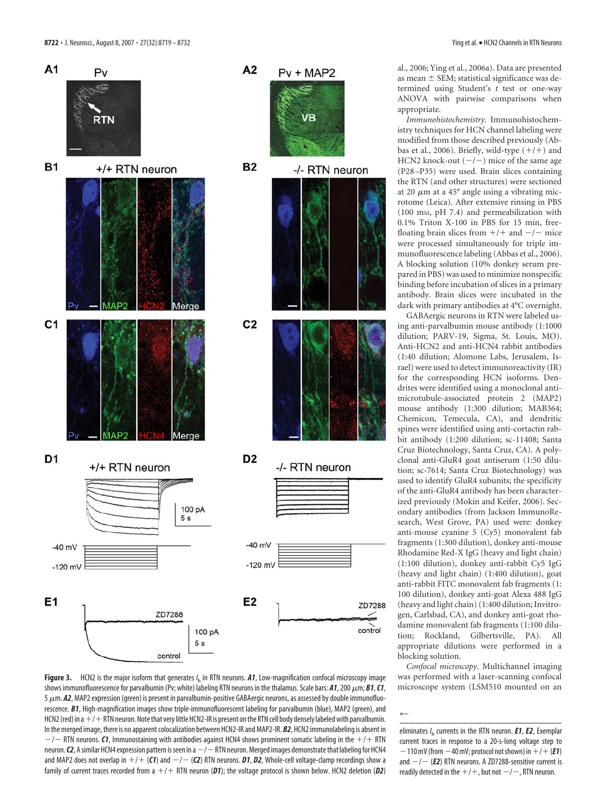

**Figure 3.** HCN2 is the major isoform that generates *I* <sup>h</sup> in RTN neurons. *A1*, Low-magnification confocal microscopy image shows immunofluorescence for parvalbumin (Pv; white) labeling RTN neurons in the thalamus. Scale bars: **A1**, 200 μm; **B1**, **C1**, 5  $\mu$ m. **A2**, MAP2 expression (green) is present in parvalbumin-positive GABAergic neurons, as assessed by double immunofluorescence. *B1*, High-magnification images show triple-immunofluorescent labeling for parvalbumin (blue), MAP2 (green), and HCN2 (red) in a  $+/-$  RTN neuron. Note that very little HCN2-IR is present on the RTN cell body densely labeled with parvalbumin. In the merged image, there is no apparent colocalization between HCN2-IR and MAP2-IR. *B2*, HCN2 immunolabeling is absent in  $-/-$  RTN neurons. *C1*, Immunostaining with antibodies against HCN4 shows prominent somatic labeling in the  $+/+$  RTN neuron. **C2**, A similar HCN4 expression pattern is seen in a  $-/-$  RTN neuron. Merged images demonstrate that labeling for HCN4 and MAP2 does not overlap in  $+$ /+ (**C1**) and  $-$ / $-$  (**C2**) RTN neurons. **D1, D2,** Whole-cell voltage-clamp recordings show a family of current traces recorded from a  $+/+$  RTN neuron (D1); the voltage protocol is shown below. HCN2 deletion (D2)

al., 2006; Ying et al., 2006a). Data are presented as mean  $\pm$  SEM; statistical significance was determined using Student's *t* test or one-way ANOVA with pairwise comparisons when appropriate.

*Immunohistochemistry.* Immunohistochemistry techniques for HCN channel labeling were modified from those described previously (Abbas et al., 2006). Briefly, wild-type  $(+/+)$  and HCN2 knock-out  $(-/-)$  mice of the same age (P28 –P35) were used. Brain slices containing the RTN (and other structures) were sectioned at 20  $\mu$ m at a 45° angle using a vibrating microtome (Leica). After extensive rinsing in PBS (100 mM, pH 7.4) and permeabilization with 0.1% Triton X-100 in PBS for 15 min, freefloating brain slices from  $+/+$  and  $-/-$  mice were processed simultaneously for triple immunofluorescence labeling (Abbas et al., 2006). A blocking solution (10% donkey serum prepared in PBS) was used to minimize nonspecific binding before incubation of slices in a primary antibody. Brain slices were incubated in the dark with primary antibodies at 4°C overnight.

GABAergic neurons in RTN were labeled using anti-parvalbumin mouse antibody (1:1000 dilution; PARV-19, Sigma, St. Louis, MO). Anti-HCN2 and anti-HCN4 rabbit antibodies (1:40 dilution; Alomone Labs, Jerusalem, Israel) were used to detect immunoreactivity (IR) for the corresponding HCN isoforms. Dendrites were identified using a monoclonal antimicrotubule-associated protein 2 (MAP2) mouse antibody (1:300 dilution; MAB364; Chemicon, Temecula, CA), and dendritic spines were identified using anti-cortactin rabbit antibody (1:200 dilution; sc-11408; Santa Cruz Biotechnology, Santa Cruz, CA). A polyclonal anti-GluR4 goat antiserum (1:50 dilution; sc-7614; Santa Cruz Biotechnology) was used to identify GluR4 subunits; the specificity of the anti-GluR4 antibody has been characterized previously (Mokin and Keifer, 2006). Secondary antibodies (from Jackson ImmunoResearch, West Grove, PA) used were: donkey anti-mouse cyanine 5 (Cy5) monovalent fab fragments (1:300 dilution), donkey anti-mouse Rhodamine Red-X IgG (heavy and light chain) (1:100 dilution), donkey anti-rabbit Cy5 IgG (heavy and light chain) (1:400 dilution), goat anti-rabbit FITC monovalent fab fragments (1: 100 dilution), donkey anti-goat Alexa 488 IgG (heavy and light chain) (1:400 dilution; Invitrogen, Carlsbad, CA), and donkey anti-goat rhodamine monovalent fab fragments (1:100 dilution; Rockland, Gilbertsville, PA). All appropriate dilutions were performed in a blocking solution.

*Confocal microscopy.* Multichannel imaging was performed with a laser-scanning confocal microscope system (LSM510 mounted on an

 $\leftarrow$ 

eliminates *I* <sup>h</sup> currents in the RTN neuron. *E1*, *E2*, Exemplar current traces in response to a 20-s-long voltage step to  $-110$  mV (from  $-40$  mV; protocol not shown) in  $+$  /  $+$  (**E1**) and  $-/-$  (*E2*) RTN neurons. A ZD7288-sensitive current is readily detected in the  $+/+$  , but not  $-/-$  , RTN neuron.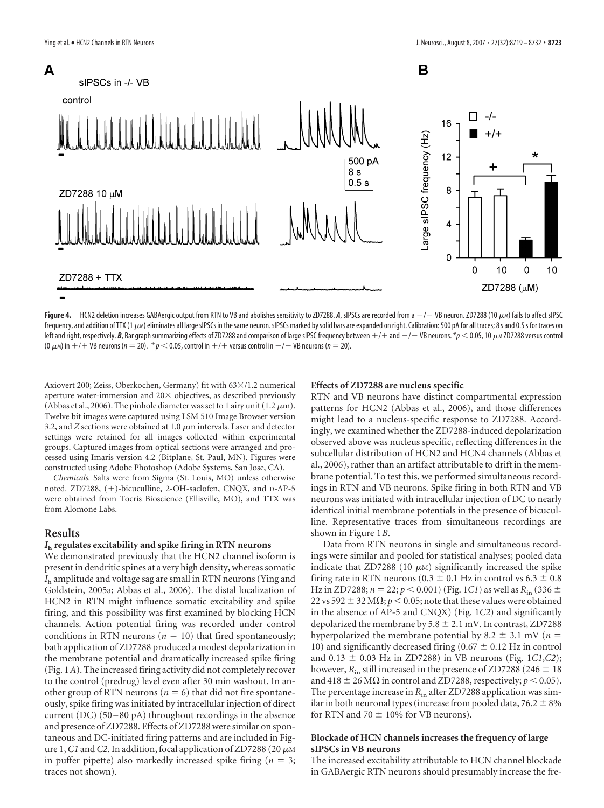

**Figure 4.** HCN2 deletion increases GABAergic output from RTN to VB and abolishes sensitivity to ZD7288. **A**, sIPSCs are recorded from a  $-/-$  VB neuron. ZD7288 (10 μм) fails to affect sIPSC frequency, and addition of TTX (1  $\mu$ M) eliminates all large sIPSCs in the same neuron. sIPSCs marked by solid bars are expanded on right. Calibration: 500 pA for all traces; 8 s and 0.5 s for traces on left and right, respectively. *B*, Bar graph summarizing effects of ZD7288 and comparison of large sIPSC frequency between  $+/-$  and  $-/-$  VB neurons. \* $p$   $<$  0.05, 10  $\mu$ м ZD7288 versus control (0  $\mu$ m) in  $+/+$  VB neurons (*n* = 20).  $^+p$  < 0.05, control in  $+/-$  versus control in  $-/-$  VB neurons (*n* = 20).

Axiovert 200; Zeiss, Oberkochen, Germany) fit with  $63\times/1.2$  numerical aperture water-immersion and  $20\times$  objectives, as described previously (Abbas et al., 2006). The pinhole diameter was set to 1 airy unit (1.2  $\mu$ m). Twelve bit images were captured using LSM 510 Image Browser version 3.2, and  $Z$  sections were obtained at 1.0  $\mu$ m intervals. Laser and detector settings were retained for all images collected within experimental groups. Captured images from optical sections were arranged and processed using Imaris version 4.2 (Bitplane, St. Paul, MN). Figures were constructed using Adobe Photoshop (Adobe Systems, San Jose, CA).

*Chemicals.* Salts were from Sigma (St. Louis, MO) unless otherwise noted. ZD7288,  $(+)$ -bicuculline, 2-OH-saclofen, CNQX, and D-AP-5 were obtained from Tocris Bioscience (Ellisville, MO), and TTX was from Alomone Labs.

## **Results**

## *I***<sup>h</sup> regulates excitability and spike firing in RTN neurons**

We demonstrated previously that the HCN2 channel isoform is present in dendritic spines at a very high density, whereas somatic *I*<sup>h</sup> amplitude and voltage sag are small in RTN neurons (Ying and Goldstein, 2005a; Abbas et al., 2006). The distal localization of HCN2 in RTN might influence somatic excitability and spike firing, and this possibility was first examined by blocking HCN channels. Action potential firing was recorded under control conditions in RTN neurons ( $n = 10$ ) that fired spontaneously; bath application of ZD7288 produced a modest depolarization in the membrane potential and dramatically increased spike firing (Fig. 1*A*). The increased firing activity did not completely recover to the control (predrug) level even after 30 min washout. In another group of RTN neurons ( $n = 6$ ) that did not fire spontaneously, spike firing was initiated by intracellular injection of direct current (DC) (50-80 pA) throughout recordings in the absence and presence of ZD7288. Effects of ZD7288 were similar on spontaneous and DC-initiated firing patterns and are included in Figure 1, C1 and C2. In addition, focal application of ZD7288 (20 $\mu$ M in puffer pipette) also markedly increased spike firing  $(n = 3;$ traces not shown).

#### **Effects of ZD7288 are nucleus specific**

RTN and VB neurons have distinct compartmental expression patterns for HCN2 (Abbas et al., 2006), and those differences might lead to a nucleus-specific response to ZD7288. Accordingly, we examined whether the ZD7288-induced depolarization observed above was nucleus specific, reflecting differences in the subcellular distribution of HCN2 and HCN4 channels (Abbas et al., 2006), rather than an artifact attributable to drift in the membrane potential. To test this, we performed simultaneous recordings in RTN and VB neurons. Spike firing in both RTN and VB neurons was initiated with intracellular injection of DC to nearly identical initial membrane potentials in the presence of bicuculline. Representative traces from simultaneous recordings are shown in Figure 1*B*.

Data from RTN neurons in single and simultaneous recordings were similar and pooled for statistical analyses; pooled data indicate that  $ZD7288$  (10  $\mu$ M) significantly increased the spike firing rate in RTN neurons (0.3  $\pm$  0.1 Hz in control vs 6.3  $\pm$  0.8 Hz in ZD7288;  $n = 22$ ;  $p < 0.001$ ) (Fig. 1*C1*) as well as  $R_{\text{in}}$  (336  $\pm$ 22 vs 592  $\pm$  32 M $\Omega$ ;  $p$  < 0.05; note that these values were obtained in the absence of AP-5 and CNQX) (Fig. 1*C2*) and significantly depolarized the membrane by  $5.8 \pm 2.1$  mV. In contrast, ZD7288 hyperpolarized the membrane potential by 8.2  $\pm$  3.1 mV (*n* = 10) and significantly decreased firing (0.67  $\pm$  0.12 Hz in control and  $0.13 \pm 0.03$  Hz in ZD7288) in VB neurons (Fig. 1*C1*,*C2*); however,  $R_{\text{in}}$  still increased in the presence of ZD7288 (246  $\pm$  18 and 418  $\pm$  26 M $\Omega$  in control and ZD7288, respectively;  $p < 0.05$ ). The percentage increase in  $R_{\text{in}}$  after ZD7288 application was similar in both neuronal types (increase from pooled data,  $76.2 \pm 8\%$ for RTN and 70  $\pm$  10% for VB neurons).

## **Blockade of HCN channels increases the frequency of large sIPSCs in VB neurons**

The increased excitability attributable to HCN channel blockade in GABAergic RTN neurons should presumably increase the fre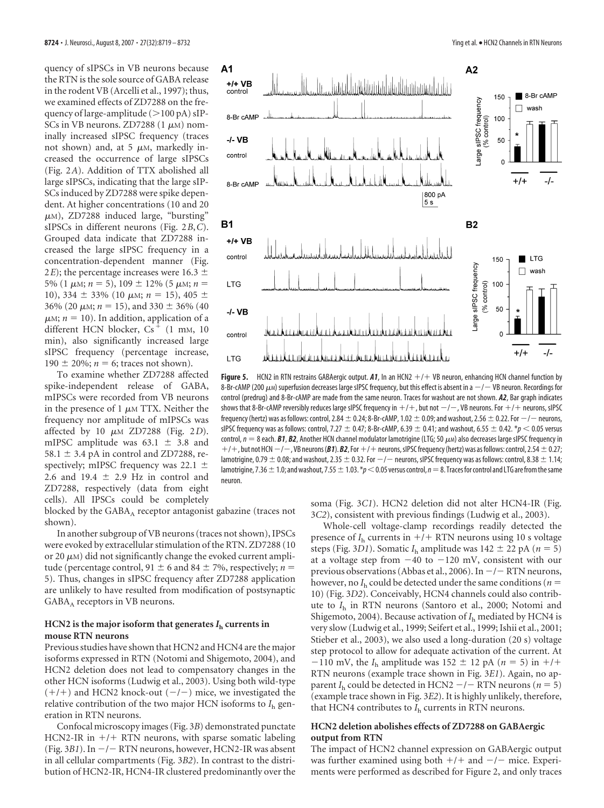quency of sIPSCs in VB neurons because the RTN is the sole source of GABA release in the rodent VB (Arcelli et al., 1997); thus, we examined effects of ZD7288 on the frequency of large-amplitude  $(>100 \text{ pA})$  sIP-SCs in VB neurons. ZD7288  $(1 \mu M)$  nominally increased sIPSC frequency (traces not shown) and, at 5  $\mu$ M, markedly increased the occurrence of large sIPSCs (Fig. 2*A*). Addition of TTX abolished all large sIPSCs, indicating that the large sIP-SCs induced by ZD7288 were spike dependent. At higher concentrations (10 and 20  $\mu$ M), ZD7288 induced large, "bursting" sIPSCs in different neurons (Fig. 2*B*,*C*). Grouped data indicate that ZD7288 increased the large sIPSC frequency in a concentration-dependent manner (Fig. 2*E*); the percentage increases were 16.3  $\pm$ 5% (1  $\mu$ m; *n* = 5), 109  $\pm$  12% (5  $\mu$ m; *n* = 10), 334  $\pm$  33% (10  $\mu$ M;  $n = 15$ ), 405  $\pm$ 36% (20  $\mu$ m; *n* = 15), and 330  $\pm$  36% (40  $\mu$ M;  $n = 10$ ). In addition, application of a different HCN blocker,  $Cs<sup>+</sup>$  (1 mm, 10 min), also significantly increased large sIPSC frequency (percentage increase, 190  $\pm$  20%; *n* = 6; traces not shown).

To examine whether ZD7288 affected spike-independent release of GABA, mIPSCs were recorded from VB neurons in the presence of 1  $\mu$ M TTX. Neither the frequency nor amplitude of mIPSCs was affected by 10  $\mu$ <sub>M</sub> ZD7288 (Fig. 2*D*). mIPSC amplitude was  $63.1 \pm 3.8$  and 58.1  $\pm$  3.4 pA in control and ZD7288, respectively; mIPSC frequency was 22.1  $\pm$ 2.6 and 19.4  $\pm$  2.9 Hz in control and ZD7288, respectively (data from eight cells). All IPSCs could be completely

blocked by the  $GABA_A$  receptor antagonist gabazine (traces not shown).

In another subgroup of VB neurons (traces not shown), IPSCs were evoked by extracellular stimulation of the RTN. ZD7288 (10 or 20  $\mu$ M) did not significantly change the evoked current amplitude (percentage control,  $91 \pm 6$  and  $84 \pm 7$ %, respectively; *n* = 5). Thus, changes in sIPSC frequency after ZD7288 application are unlikely to have resulted from modification of postsynaptic  $GABA_A$  receptors in VB neurons.

#### **HCN2** is the major isoform that generates  $I<sub>h</sub>$  currents in **mouse RTN neurons**

Previous studies have shown that HCN2 and HCN4 are the major isoforms expressed in RTN (Notomi and Shigemoto, 2004), and HCN2 deletion does not lead to compensatory changes in the other HCN isoforms (Ludwig et al., 2003). Using both wild-type  $(+/+)$  and HCN2 knock-out  $(-/-)$  mice, we investigated the relative contribution of the two major HCN isoforms to *I*<sup>h</sup> generation in RTN neurons.

Confocal microscopy images (Fig. 3*B*) demonstrated punctate HCN2-IR in  $+/+$  RTN neurons, with sparse somatic labeling (Fig. 3B1). In  $-/-$  RTN neurons, however, HCN2-IR was absent in all cellular compartments (Fig. 3*B2*). In contrast to the distribution of HCN2-IR, HCN4-IR clustered predominantly over the



**Figure 5.** HCN2 in RTN restrains GABAergic output.  $A1$ , In an HCN2  $+/+$  VB neuron, enhancing HCN channel function by 8-Br-cAMP (200  $\mu$ м) superfusion decreases large sIPSC frequency, but this effect is absent in a  $-/-$  VB neuron. Recordings for control (predrug) and 8-Br-cAMP are made from the same neuron. Traces for washout are not shown. *A2*, Bar graph indicates shows that 8-Br-cAMP reversibly reduces large sIPSC frequency in  $+/+$  , but not  $-/-$  , VB neurons. For  $+/+$  neurons, sIPSC frequency (hertz) was as follows: control, 2.84  $\pm$  0.24; 8-Br-cAMP, 1.02  $\pm$  0.09; and washout, 2.56  $\pm$  0.22. For  $-/-$  neurons, sIPSC frequency was as follows: control, 7.27  $\pm$  0.47; 8-Br-cAMP, 6.39  $\pm$  0.41; and washout, 6.55  $\pm$  0.42.  $*$  $p$  < 0.05 versus control,  $n = 8$  each. **B1, B2**, Another HCN channel modulator lamotrigine (LTG; 50  $\mu$ *M*) also decreases large sIPSC frequency in  $+$ / $+$ , but not HCN  $-$ / $-$ , VB neurons (**B1**). **B2**, For  $+$ / $+$  neurons, sIPSC frequency (hertz) was as follows: control, 2.54  $\pm$  0.27; lamotrigine, 0.79  $\pm$  0.08; and washout, 2.35  $\pm$  0.32. For  $-/-$  neurons, sIPSC frequency was as follows: control, 8.38  $\pm$  1.14; lamotrigine, 7.36  $\pm$  1.0; and washout, 7.55  $\pm$  1.03.  $*p$  < 0.05 versus control,  $n=8$ . Traces for control and LTG are from the same neuron.

soma (Fig. 3*C1*). HCN2 deletion did not alter HCN4-IR (Fig. 3*C2*), consistent with previous findings (Ludwig et al., 2003).

Whole-cell voltage-clamp recordings readily detected the presence of  $I<sub>h</sub>$  currents in  $+$ / $+$  RTN neurons using 10 s voltage steps (Fig. 3D1). Somatic  $I<sub>h</sub>$  amplitude was 142  $\pm$  22 pA ( $n = 5$ ) at a voltage step from  $-40$  to  $-120$  mV, consistent with our previous observations (Abbas et al., 2006). In  $-/-$  RTN neurons, however, no  $I<sub>h</sub>$  could be detected under the same conditions ( $n =$ 10) (Fig. 3*D2*). Conceivably, HCN4 channels could also contribute to *I*<sup>h</sup> in RTN neurons (Santoro et al., 2000; Notomi and Shigemoto, 2004). Because activation of  $I<sub>h</sub>$  mediated by HCN4 is very slow (Ludwig et al., 1999; Seifert et al., 1999; Ishii et al., 2001; Stieber et al., 2003), we also used a long-duration (20 s) voltage step protocol to allow for adequate activation of the current. At  $-110$  mV, the *I*<sub>h</sub> amplitude was 152  $\pm$  12 pA (*n* = 5) in +/+ RTN neurons (example trace shown in Fig. 3*E1*). Again, no apparent  $I<sub>h</sub>$  could be detected in HCN2  $-/-$  RTN neurons ( $n = 5$ ) (example trace shown in Fig. 3*E2*). It is highly unlikely, therefore, that HCN4 contributes to  $I<sub>h</sub>$  currents in RTN neurons.

#### **HCN2 deletion abolishes effects of ZD7288 on GABAergic output from RTN**

The impact of HCN2 channel expression on GABAergic output was further examined using both  $+/+$  and  $-/-$  mice. Experiments were performed as described for Figure 2, and only traces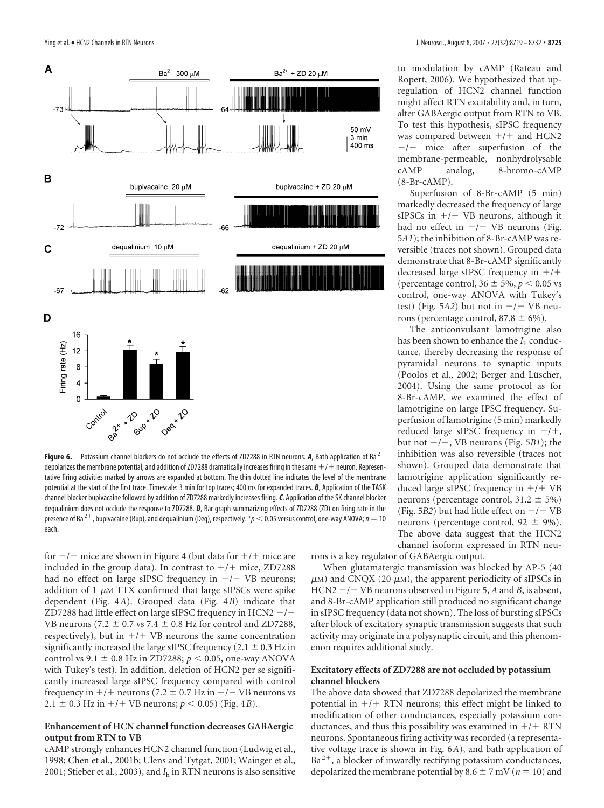

**Figure 6.** Potassium channel blockers do not occlude the effects of ZD7288 in RTN neurons. A, Bath application of Ba<sup>2+</sup> depolarizes the membrane potential, and addition of ZD7288 dramatically increases firing in the same  $+/+$  neuron. Representative firing activities marked by arrows are expanded at bottom. The thin dotted line indicates the level of the membrane potential at the start of the first trace. Timescale: 3 min for top traces; 400 ms for expanded traces. *B*, Application of the TASK channel blocker bupivacaine followed by addition of ZD7288 markedly increases firing.*C*, Application of the SK channel blocker dequalinium does not occlude the response to ZD7288. *D*, Bar graph summarizing effects of ZD7288 (ZD) on firing rate in the presence of Ba<sup>2+</sup>, bupivacaine (Bup), and dequalinium (Deq), respectively.  $*_p$  < 0.05 versus control, one-way ANOVA;  $n = 10$ each.

for  $-/-$  mice are shown in Figure 4 (but data for  $+/+$  mice are included in the group data). In contrast to  $+/+$  mice, ZD7288 had no effect on large sIPSC frequency in  $-/-$  VB neurons; addition of 1  $\mu$ M TTX confirmed that large sIPSCs were spike dependent (Fig. 4*A*). Grouped data (Fig. 4*B*) indicate that ZD7288 had little effect on large sIPSC frequency in  $HCN2 - / -$ VB neurons (7.2  $\pm$  0.7 vs 7.4  $\pm$  0.8 Hz for control and ZD7288, respectively), but in  $+/+$  VB neurons the same concentration significantly increased the large sIPSC frequency (2.1  $\pm$  0.3 Hz in control vs 9.1  $\pm$  0.8 Hz in ZD7288;  $p$  < 0.05, one-way ANOVA with Tukey's test). In addition, deletion of HCN2 per se significantly increased large sIPSC frequency compared with control frequency in  $+/+$  neurons (7.2  $\pm$  0.7 Hz in  $-/-$  VB neurons vs 2.1  $\pm$  0.3 Hz in +/+ VB neurons;  $p < 0.05$ ) (Fig. 4*B*).

#### **Enhancement of HCN channel function decreases GABAergic output from RTN to VB**

cAMP strongly enhances HCN2 channel function (Ludwig et al., 1998; Chen et al., 2001b; Ulens and Tytgat, 2001; Wainger et al., 2001; Stieber et al., 2003), and  $I<sub>h</sub>$  in RTN neurons is also sensitive

to modulation by cAMP (Rateau and Ropert, 2006). We hypothesized that upregulation of HCN2 channel function might affect RTN excitability and, in turn, alter GABAergic output from RTN to VB. To test this hypothesis, sIPSC frequency was compared between  $+/+$  and HCN2  $-/-$  mice after superfusion of the membrane-permeable, nonhydrolysable cAMP analog, 8-bromo-cAMP (8-Br-cAMP).

Superfusion of 8-Br-cAMP (5 min) markedly decreased the frequency of large sIPSCs in  $+/+$  VB neurons, although it had no effect in  $-/-$  VB neurons (Fig. 5*A1*); the inhibition of 8-Br-cAMP was reversible (traces not shown). Grouped data demonstrate that 8-Br-cAMP significantly decreased large sIPSC frequency in  $+/+$ (percentage control,  $36 \pm 5\%$ ,  $p < 0.05$  vs control, one-way ANOVA with Tukey's test) (Fig.  $5A2$ ) but not in  $-/-$  VB neurons (percentage control,  $87.8 \pm 6\%$ ).

The anticonvulsant lamotrigine also has been shown to enhance the  $I<sub>h</sub>$  conductance, thereby decreasing the response of pyramidal neurons to synaptic inputs (Poolos et al., 2002; Berger and Lüscher, 2004). Using the same protocol as for 8-Br-cAMP, we examined the effect of lamotrigine on large IPSC frequency. Superfusion of lamotrigine (5 min) markedly reduced large sIPSC frequency in  $+/+$ , but not  $-/-$ , VB neurons (Fig. 5*B1*); the inhibition was also reversible (traces not shown). Grouped data demonstrate that lamotrigine application significantly reduced large sIPSC frequency in  $+/+VB$ neurons (percentage control,  $31.2 \pm 5\%$ ) (Fig. 5B2) but had little effect on  $-/-$  VB neurons (percentage control,  $92 \pm 9\%$ ). The above data suggest that the HCN2 channel isoform expressed in RTN neu-

rons is a key regulator of GABAergic output.

When glutamatergic transmission was blocked by AP-5 (40  $\mu$ M) and CNQX (20  $\mu$ M), the apparent periodicity of sIPSCs in HCN2 -/- VB neurons observed in Figure 5, *A* and *B*, is absent, and 8-Br-cAMP application still produced no significant change in sIPSC frequency (data not shown). The loss of bursting sIPSCs after block of excitatory synaptic transmission suggests that such activity may originate in a polysynaptic circuit, and this phenomenon requires additional study.

#### **Excitatory effects of ZD7288 are not occluded by potassium channel blockers**

The above data showed that ZD7288 depolarized the membrane potential in  $+/+$  RTN neurons; this effect might be linked to modification of other conductances, especially potassium conductances, and thus this possibility was examined in  $+$ / $+$  RTN neurons. Spontaneous firing activity was recorded (a representative voltage trace is shown in Fig. 6*A*), and bath application of  $Ba<sup>2+</sup>$ , a blocker of inwardly rectifying potassium conductances, depolarized the membrane potential by 8.6  $\pm$  7 mV ( $n = 10$ ) and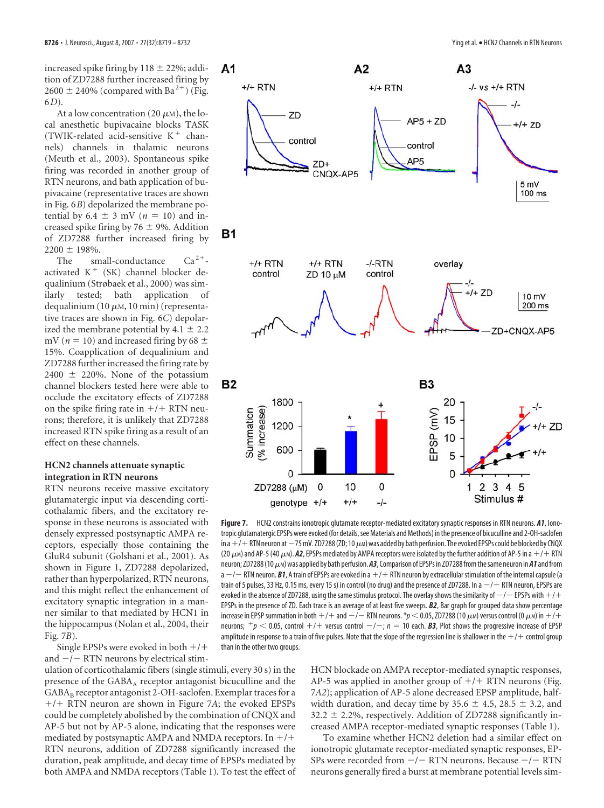increased spike firing by  $118 \pm 22\%$ ; addition of ZD7288 further increased firing by  $2600 \pm 240\%$  (compared with Ba<sup>2+</sup>) (Fig. 6*D*).

At a low concentration (20  $\mu$ M), the local anesthetic bupivacaine blocks TASK (TWIK-related acid-sensitive  $K^+$  channels) channels in thalamic neurons (Meuth et al., 2003). Spontaneous spike firing was recorded in another group of RTN neurons, and bath application of bupivacaine (representative traces are shown in Fig. 6*B*) depolarized the membrane potential by  $6.4 \pm 3$  mV ( $n = 10$ ) and increased spike firing by 76  $\pm$  9%. Addition of ZD7288 further increased firing by  $2200 \pm 198\%$ .

The small-conductance  $Ca^{2+}$ activated  $K^+$  (SK) channel blocker dequalinium (Strøbaek et al., 2000) was similarly tested; bath application of dequalinium (10  $\mu$ M, 10 min) (representative traces are shown in Fig. 6*C*) depolarized the membrane potential by  $4.1 \pm 2.2$ mV ( $n = 10$ ) and increased firing by 68  $\pm$ 15%. Coapplication of dequalinium and ZD7288 further increased the firing rate by  $2400 \pm 220\%$ . None of the potassium channel blockers tested here were able to occlude the excitatory effects of ZD7288 on the spike firing rate in  $+$ / $+$  RTN neurons; therefore, it is unlikely that ZD7288 increased RTN spike firing as a result of an effect on these channels.

## **HCN2 channels attenuate synaptic integration in RTN neurons**

RTN neurons receive massive excitatory glutamatergic input via descending corticothalamic fibers, and the excitatory response in these neurons is associated with densely expressed postsynaptic AMPA receptors, especially those containing the GluR4 subunit (Golshani et al., 2001). As shown in Figure 1, ZD7288 depolarized, rather than hyperpolarized, RTN neurons, and this might reflect the enhancement of excitatory synaptic integration in a manner similar to that mediated by HCN1 in the hippocampus (Nolan et al., 2004, their Fig. 7*B*).

Single EPSPs were evoked in both  $+/+$ and  $-/-$  RTN neurons by electrical stim-

ulation of corticothalamic fibers (single stimuli, every 30 s) in the presence of the  $GABA_A$  receptor antagonist bicuculline and the  $GABA_B$  receptor antagonist 2-OH-saclofen. Exemplar traces for a +/+ RTN neuron are shown in Figure 7A; the evoked EPSPs could be completely abolished by the combination of CNQX and AP-5 but not by AP-5 alone, indicating that the responses were mediated by postsynaptic AMPA and NMDA receptors. In  $+/+$ RTN neurons, addition of ZD7288 significantly increased the duration, peak amplitude, and decay time of EPSPs mediated by both AMPA and NMDA receptors (Table 1). To test the effect of



**Figure 7.** HCN2 constrains ionotropic glutamate receptor-mediated excitatory synaptic responses in RTN neurons. *A1*, Ionotropic glutamatergic EPSPs were evoked (for details, see Materials and Methods) in the presence of bicuculline and 2-OH-saclofen in a  $+$ / $+$  RTN neuron at  $-$  75 mV. ZD7288 (ZD; 10  $\mu$ m) was added by bath perfusion. The evoked EPSPs could be blocked by CNQX (20  $\mu$ M) and AP-5 (40  $\mu$ M). **A2**, EPSPs mediated by AMPA receptors were isolated by the further addition of AP-5 in a  $+/-$  RTN neuron; ZD7288 (10  $\mu$ м) was applied by bath perfusion. A3, Comparison of EPSPs in ZD7288 from the same neuron in A1 and from a —/— RTN neuron. *B1,* **A train of EPSPs are evoked in a** +/+ RTN neuron by extracellular stimulation of the internal capsule (a train of 5 pulses, 33 Hz, 0.15 ms, every 15 s) in control (no drug) and the presence of ZD7288. In a  $-/-$  RTN neuron, EPSPs are evoked in the absence of ZD7288, using the same stimulus protocol. The overlay shows the similarity of  $-/-$  EPSPs with  $+/+$ EPSPs in the presence of ZD. Each trace is an average of at least five sweeps. *B2*, Bar graph for grouped data show percentage increase in EPSP summation in both  $+/+$  and  $-/-$  RTN neurons.  $*_P$   $<$  0.05, ZD7288 (10  $\mu$ m) versus control (0  $\mu$ m) in  $+/+$ neurons;  $^+p <$  0.05, control  $+/+$  versus control  $-/-$ ;  $n=10$  each.  ${\bm B}$ 3, Plot shows the progressive increase of EPSP amplitude in response to a train of five pulses. Note that the slope of the regression line is shallower in the  $+/+$  control group than in the other two groups.

HCN blockade on AMPA receptor-mediated synaptic responses, AP-5 was applied in another group of  $+/+$  RTN neurons (Fig. 7*A2*); application of AP-5 alone decreased EPSP amplitude, halfwidth duration, and decay time by 35.6  $\pm$  4.5, 28.5  $\pm$  3.2, and  $32.2 \pm 2.2$ %, respectively. Addition of ZD7288 significantly increased AMPA receptor-mediated synaptic responses (Table 1).

To examine whether HCN2 deletion had a similar effect on ionotropic glutamate receptor-mediated synaptic responses, EP-SPs were recorded from  $-/-$  RTN neurons. Because  $-/-$  RTN neurons generally fired a burst at membrane potential levels sim-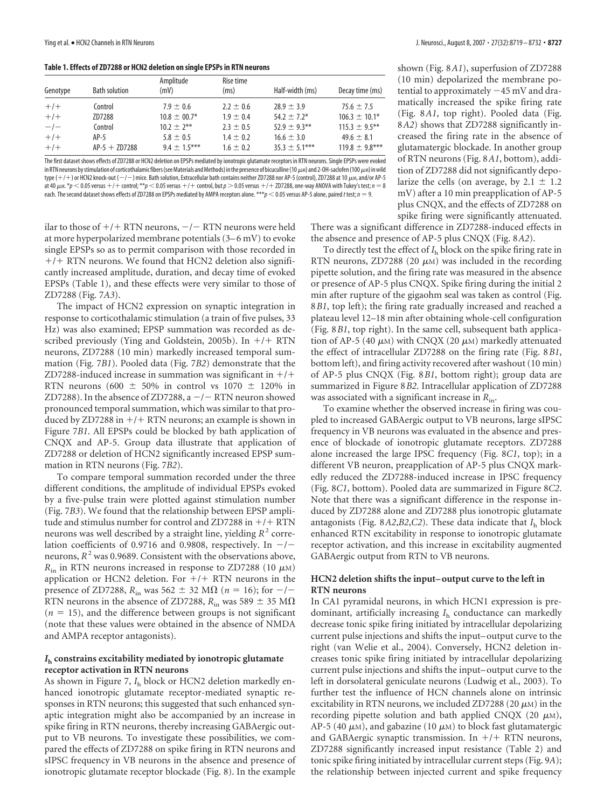**Table 1. Effects of ZD7288 or HCN2 deletion on single EPSPs in RTN neurons**

| Genotype | <b>Bath solution</b> | Amplitude<br>(mV) | Rise time<br>(ms) | Half-width (ms) | Decay time (ms)  |
|----------|----------------------|-------------------|-------------------|-----------------|------------------|
| $+/+$    | Control              | $7.9 \pm 0.6$     | $2.2 \pm 0.6$     | $78.9 + 3.9$    | $75.6 \pm 7.5$   |
| $+/-$    | ZD7288               | $10.8 + 00.7*$    | $1.9 + 0.4$       | $54.2 + 7.2*$   | $106.3 + 10.1*$  |
| $-/-$    | Control              | $10.2 \pm 2***$   | $2.3 \pm 0.5$     | $52.9 + 9.3***$ | $115.3 + 9.5***$ |
| $+/-$    | AP-5                 | $5.8 \pm 0.5$     | $1.4 + 0.2$       | $16.6 + 3.0$    | $49.6 + 8.1$     |
| $+/-$    | $AP-5 + ZD7288$      | $9.4 + 1.5***$    | $1.6 \pm 0.2$     | $35.3 + 5.1***$ | $119.8 + 9.8***$ |

The first dataset shows effects of ZD7288 or HCN2 deletion on EPSPs mediated by ionotropic glutamate receptors in RTN neurons. Single EPSPs were evoked in RTN neurons by stimulation of corticothalamic fibers (see Materials and Methods) in the presence of bicuculline (10 $\mu$ M) and 2-OH-saclofen (100  $\mu$ M) in wild type (+/+) or HCN2 knock-out ( $-/-$ ) mice. Bath solution, Extracellular bath contains neither ZD7288 nor AP-5 (control), ZD7288 at 10  $\mu$ м, and/or AP-5 at 40  $\mu$ m.  $*p$  < 0.05 versus +/+ control;  $**p$  < 0.05 versus +/+ control, but  $p > 0.05$  versus +/+ ZD7288, one-way ANOVA with Tukey's test;  $n = 8$ each. The second dataset shows effects of ZD7288 on EPSPs mediated by AMPA receptors alone. \*\*\**p* < 0.05 versus AP-5 alone, paired *t* test; *n* = 9.

ilar to those of  $+/+$  RTN neurons,  $-/-$  RTN neurons were held at more hyperpolarized membrane potentials (3–6 mV) to evoke single EPSPs so as to permit comparison with those recorded in  $+/+$  RTN neurons. We found that HCN2 deletion also significantly increased amplitude, duration, and decay time of evoked EPSPs (Table 1), and these effects were very similar to those of ZD7288 (Fig. 7*A3*).

The impact of HCN2 expression on synaptic integration in response to corticothalamic stimulation (a train of five pulses, 33 Hz) was also examined; EPSP summation was recorded as described previously (Ying and Goldstein, 2005b). In  $+/+$  RTN neurons, ZD7288 (10 min) markedly increased temporal summation (Fig. 7*B1*). Pooled data (Fig. 7*B2*) demonstrate that the ZD7288-induced increase in summation was significant in  $+/+$ RTN neurons (600  $\pm$  50% in control vs 1070  $\pm$  120% in ZD7288). In the absence of ZD7288,  $a - / -$  RTN neuron showed pronounced temporal summation, which was similar to that produced by ZD7288 in  $+/+$  RTN neurons; an example is shown in Figure 7*B1*. All EPSPs could be blocked by bath application of CNQX and AP-5. Group data illustrate that application of ZD7288 or deletion of HCN2 significantly increased EPSP summation in RTN neurons (Fig. 7*B2*).

To compare temporal summation recorded under the three different conditions, the amplitude of individual EPSPs evoked by a five-pulse train were plotted against stimulation number (Fig. 7*B3*). We found that the relationship between EPSP amplitude and stimulus number for control and ZD7288 in  $+$ / $+$  RTN neurons was well described by a straight line, yielding  $R^2$  correlation coefficients of 0.9716 and 0.9808, respectively. In  $-/$ neurons,  $R^2$  was 0.9689. Consistent with the observations above,  $R_{\text{in}}$  in RTN neurons increased in response to ZD7288 (10  $\mu$ M) application or HCN2 deletion. For  $+/+$  RTN neurons in the presence of ZD7288,  $R_{\text{in}}$  was 562  $\pm$  32 M $\Omega$  (*n* = 16); for  $-/-$ RTN neurons in the absence of ZD7288,  $R_{\text{in}}$  was 589  $\pm$  35 M $\Omega$  $(n = 15)$ , and the difference between groups is not significant (note that these values were obtained in the absence of NMDA and AMPA receptor antagonists).

#### *I***<sup>h</sup> constrains excitability mediated by ionotropic glutamate receptor activation in RTN neurons**

As shown in Figure 7,  $I<sub>h</sub>$  block or HCN2 deletion markedly enhanced ionotropic glutamate receptor-mediated synaptic responses in RTN neurons; this suggested that such enhanced synaptic integration might also be accompanied by an increase in spike firing in RTN neurons, thereby increasing GABAergic output to VB neurons. To investigate these possibilities, we compared the effects of ZD7288 on spike firing in RTN neurons and sIPSC frequency in VB neurons in the absence and presence of ionotropic glutamate receptor blockade (Fig. 8). In the example

shown (Fig. 8*A1*), superfusion of ZD7288 (10 min) depolarized the membrane potential to approximately  $-45$  mV and dramatically increased the spike firing rate (Fig. 8*A1*, top right). Pooled data (Fig. 8*A2*) shows that ZD7288 significantly increased the firing rate in the absence of glutamatergic blockade. In another group of RTN neurons (Fig. 8*A1*, bottom), addition of ZD7288 did not significantly depolarize the cells (on average, by  $2.1 \pm 1.2$ mV) after a 10 min preapplication of AP-5 plus CNQX, and the effects of ZD7288 on spike firing were significantly attenuated.

There was a significant difference in ZD7288-induced effects in the absence and presence of AP-5 plus CNQX (Fig. 8*A2*).

To directly test the effect of *I*<sup>h</sup> block on the spike firing rate in RTN neurons, ZD7288 (20  $\mu$ M) was included in the recording pipette solution, and the firing rate was measured in the absence or presence of AP-5 plus CNQX. Spike firing during the initial 2 min after rupture of the gigaohm seal was taken as control (Fig. 8*B1*, top left); the firing rate gradually increased and reached a plateau level 12–18 min after obtaining whole-cell configuration (Fig. 8*B1*, top right). In the same cell, subsequent bath application of AP-5 (40  $\mu$ M) with CNQX (20  $\mu$ M) markedly attenuated the effect of intracellular ZD7288 on the firing rate (Fig. 8*B1*, bottom left), and firing activity recovered after washout (10 min) of AP-5 plus CNQX (Fig. 8*B1*, bottom right); group data are summarized in Figure 8*B2*. Intracellular application of ZD7288 was associated with a significant increase in *R*in.

To examine whether the observed increase in firing was coupled to increased GABAergic output to VB neurons, large sIPSC frequency in VB neurons was evaluated in the absence and presence of blockade of ionotropic glutamate receptors. ZD7288 alone increased the large IPSC frequency (Fig. 8*C1*, top); in a different VB neuron, preapplication of AP-5 plus CNQX markedly reduced the ZD7288-induced increase in IPSC frequency (Fig. 8*C1*, bottom). Pooled data are summarized in Figure 8*C2*. Note that there was a significant difference in the response induced by ZD7288 alone and ZD7288 plus ionotropic glutamate antagonists (Fig.  $8A2,B2,C2$ ). These data indicate that  $I<sub>h</sub>$  block enhanced RTN excitability in response to ionotropic glutamate receptor activation, and this increase in excitability augmented GABAergic output from RTN to VB neurons.

## **HCN2 deletion shifts the input– output curve to the left in RTN neurons**

In CA1 pyramidal neurons, in which HCN1 expression is predominant, artificially increasing *I*<sup>h</sup> conductance can markedly decrease tonic spike firing initiated by intracellular depolarizing current pulse injections and shifts the input– output curve to the right (van Welie et al., 2004). Conversely, HCN2 deletion increases tonic spike firing initiated by intracellular depolarizing current pulse injections and shifts the input– output curve to the left in dorsolateral geniculate neurons (Ludwig et al., 2003). To further test the influence of HCN channels alone on intrinsic excitability in RTN neurons, we included ZD7288 (20  $\mu$ M) in the recording pipette solution and bath applied CNQX (20  $\mu$ M), AP-5 (40  $\mu$ M), and gabazine (10  $\mu$ M) to block fast glutamatergic and GABAergic synaptic transmission. In  $+/+$  RTN neurons, ZD7288 significantly increased input resistance (Table 2) and tonic spike firing initiated by intracellular current steps (Fig. 9*A*); the relationship between injected current and spike frequency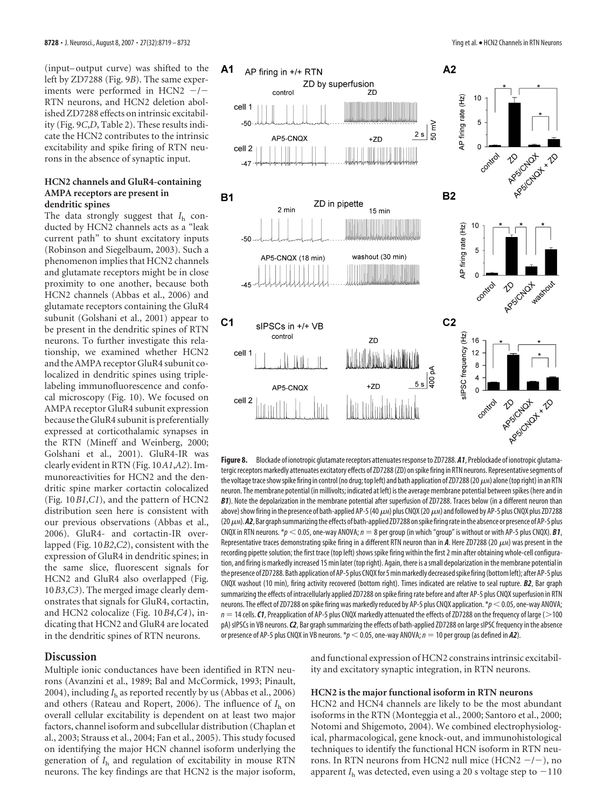(input– output curve) was shifted to the left by ZD7288 (Fig. 9*B*). The same experiments were performed in HCN2  $-/-$ RTN neurons, and HCN2 deletion abolished ZD7288 effects on intrinsic excitability (Fig. 9*C*,*D*, Table 2). These results indicate the HCN2 contributes to the intrinsic excitability and spike firing of RTN neurons in the absence of synaptic input.

## **HCN2 channels and GluR4-containing AMPA receptors are present in dendritic spines**

The data strongly suggest that *I*<sup>h</sup> conducted by HCN2 channels acts as a "leak current path" to shunt excitatory inputs (Robinson and Siegelbaum, 2003). Such a phenomenon implies that HCN2 channels and glutamate receptors might be in close proximity to one another, because both HCN2 channels (Abbas et al., 2006) and glutamate receptors containing the GluR4 subunit (Golshani et al., 2001) appear to be present in the dendritic spines of RTN neurons. To further investigate this relationship, we examined whether HCN2 and the AMPA receptor GluR4 subunit colocalized in dendritic spines using triplelabeling immunofluorescence and confocal microscopy (Fig. 10). We focused on AMPA receptor GluR4 subunit expression because the GluR4 subunit is preferentially expressed at corticothalamic synapses in the RTN (Mineff and Weinberg, 2000; Golshani et al., 2001). GluR4-IR was clearly evident in RTN (Fig. 10*A1*,*A2*). Immunoreactivities for HCN2 and the dendritic spine marker cortactin colocalized (Fig. 10*B1*,*C1*), and the pattern of HCN2 distribution seen here is consistent with our previous observations (Abbas et al., 2006). GluR4- and cortactin-IR overlapped (Fig. 10*B2*,*C2*), consistent with the expression of GluR4 in dendritic spines; in the same slice, fluorescent signals for HCN2 and GluR4 also overlapped (Fig. 10*B3*,*C3*). The merged image clearly demonstrates that signals for GluR4, cortactin, and HCN2 colocalize (Fig. 10*B4*,*C4*), indicating that HCN2 and GluR4 are located in the dendritic spines of RTN neurons.

#### **Discussion**

Multiple ionic conductances have been identified in RTN neurons (Avanzini et al., 1989; Bal and McCormick, 1993; Pinault, 2004), including  $I<sub>h</sub>$  as reported recently by us (Abbas et al., 2006) and others (Rateau and Ropert, 2006). The influence of *I*<sup>h</sup> on overall cellular excitability is dependent on at least two major factors, channel isoform and subcellular distribution (Chaplan et al., 2003; Strauss et al., 2004; Fan et al., 2005). This study focused on identifying the major HCN channel isoform underlying the generation of *I*<sup>h</sup> and regulation of excitability in mouse RTN neurons. The key findings are that HCN2 is the major isoform,



**Figure 8.** Blockade of ionotropic glutamate receptors attenuates response to ZD7288. *A1*, Preblockade of ionotropic glutamatergic receptors markedly attenuates excitatory effects of ZD7288 (ZD) on spike firing in RTN neurons. Representative segments of the voltage trace show spike firing in control (no drug; top left) and bath application of ZD7288 (20  $\mu$ M) alone (top right) in an RTN neuron. The membrane potential (in millivolts; indicated at left) is the average membrane potential between spikes (here and in *B1*). Note the depolarization in the membrane potential after superfusion of ZD7288. Traces below (in a different neuron than above) show firing in the presence of bath-applied AP-5 (40  $\mu$ M) plus CNQX (20  $\mu$ M) and followed by AP-5 plus CNQX plus ZD7288  $(20 \mu)$ . A2, Bar graph summarizing the effects of bath-applied ZD7288 on spike firing rate in the absence or presence of AP-5 plus CNQX in RTN neurons.  $p > 0.05$ , one-way ANOVA;  $n = 8$  per group (in which "group" is without or with AP-5 plus CNQX). *B1*, Representative traces demonstrating spike firing in a different RTN neuron than in  $A$ . Here ZD7288 (20  $\mu$ M) was present in the recording pipette solution; the first trace (top left) shows spike firing within the first 2 min after obtaining whole-cell configuration, and firing is markedly increased 15 min later (top right). Again, there is asmall depolarization in the membrane potential in the presence of ZD7288. Bath application of AP-5 plus CNQX for 5 min markedly decreased spike firing (bottom left); after AP-5 plus CNQX washout (10 min), firing activity recovered (bottom right). Times indicated are relative to seal rupture. *B2*, Bar graph summarizing the effects of intracellularly applied ZD7288 on spike firing rate before and after AP-5 plus CNQX superfusion in RTN neurons. The effect of ZD7288 on spike firing was markedly reduced by AP-5 plus CNQX application. \*p < 0.05, one-way ANOVA;  $n = 14$  cells. *C1*, Preapplication of AP-5 plus CNQX markedly attenuated the effects of ZD7288 on the frequency of large ( $>$ 100 pA) sIPSCs in VB neurons. **C2**, Bar graph summarizing the effects of bath-applied ZD7288 on large sIPSC frequency in the absence or presence of AP-5 plus CNQX in VB neurons.  $p < 0.05$ , one-way ANOVA;  $n = 10$  per group (as defined in **A2**).

> and functional expression of HCN2 constrains intrinsic excitability and excitatory synaptic integration, in RTN neurons.

#### **HCN2 is the major functional isoform in RTN neurons**

HCN2 and HCN4 channels are likely to be the most abundant isoforms in the RTN (Monteggia et al., 2000; Santoro et al., 2000; Notomi and Shigemoto, 2004). We combined electrophysiological, pharmacological, gene knock-out, and immunohistological techniques to identify the functional HCN isoform in RTN neurons. In RTN neurons from HCN2 null mice  $(HCN2 - / -)$ , no apparent  $I_{\rm h}$  was detected, even using a 20 s voltage step to  $-110$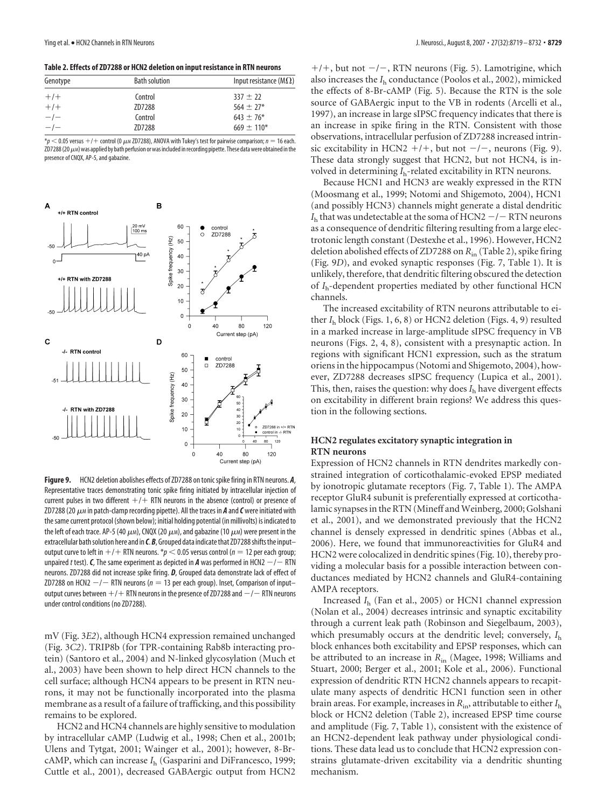**Table 2. Effects of ZD7288 or HCN2 deletion on input resistance in RTN neurons**

| Genotype | <b>Bath solution</b> | Input resistance ( $M\Omega$ ) |  |
|----------|----------------------|--------------------------------|--|
| $+/-$    | Control              | $337 + 22$                     |  |
| $+/-$    | ZD7288               | $564 + 27*$                    |  |
| $-/-$    | Control              | $643 \pm 76*$                  |  |
| $-/-$    | ZD7288               | $669 \pm 110*$                 |  |

 $*_p$   $<$  0.05 versus  $+/+$  control (0  $\mu$ m ZD7288), ANOVA with Tukey's test for pairwise comparison; *n* = 16 each. ZD7288 (20  $\mu$ M) was applied by bath perfusion or was included in recording pipette. These data were obtained in the presence of CNQX, AP-5, and gabazine.



**Figure 9.** HCN2 deletion abolishes effects of ZD7288 on tonicspike firing in RTN neurons. *A*, Representative traces demonstrating tonic spike firing initiated by intracellular injection of current pulses in two different  $+ / +$  RTN neurons in the absence (control) or presence of ZD7288 (20  $\mu$ *M* in patch-clamp recording pipette). All the traces in **A** and **C** were initiated with thesame current protocol (shown below); initial holding potential (in millivolts) is indicated to the left of each trace. AP-5 (40  $\mu$ m), CNQX (20  $\mu$ m), and gabazine (10  $\mu$ m) were present in the extracellular bath solution here and in *C.B*, Grouped data indicate that ZD7288 shifts the input– output curve to left in  $+$  /  $+$  RTN neurons.  $p$   $<$  0.05 versus control ( $n$  = 12 per each group; unpaired t test).  $\bm{\mathsf{C}}$ , The same experiment as depicted in  $\bm{A}$  was performed in HCN2  $-/-$  RTN neurons. ZD7288 did not increase spike firing. *D*, Grouped data demonstrate lack of effect of ZD7288 on HCN2  $-/-$  RTN neurons ( $n=13$  per each group). Inset, Comparison of input– output curves between  $+$  /  $+$  RTN neurons in the presence of ZD7288 and  $-$  /  $-$  RTN neurons under control conditions (no ZD7288).

mV (Fig. 3*E2*), although HCN4 expression remained unchanged (Fig. 3*C2*). TRIP8b (for TPR-containing Rab8b interacting protein) (Santoro et al., 2004) and N-linked glycosylation (Much et al., 2003) have been shown to help direct HCN channels to the cell surface; although HCN4 appears to be present in RTN neurons, it may not be functionally incorporated into the plasma membrane as a result of a failure of trafficking, and this possibility remains to be explored.

HCN2 and HCN4 channels are highly sensitive to modulation by intracellular cAMP (Ludwig et al., 1998; Chen et al., 2001b; Ulens and Tytgat, 2001; Wainger et al., 2001); however, 8-BrcAMP, which can increase *I*<sup>h</sup> (Gasparini and DiFrancesco, 1999; Cuttle et al., 2001), decreased GABAergic output from HCN2

 $+/+$ , but not  $-/-$ , RTN neurons (Fig. 5). Lamotrigine, which also increases the *I*<sup>h</sup> conductance (Poolos et al., 2002), mimicked the effects of 8-Br-cAMP (Fig. 5). Because the RTN is the sole source of GABAergic input to the VB in rodents (Arcelli et al., 1997), an increase in large sIPSC frequency indicates that there is an increase in spike firing in the RTN. Consistent with those observations, intracellular perfusion of ZD7288 increased intrinsic excitability in HCN2  $+/+$ , but not  $-/-$ , neurons (Fig. 9). These data strongly suggest that HCN2, but not HCN4, is involved in determining *I*h-related excitability in RTN neurons.

Because HCN1 and HCN3 are weakly expressed in the RTN (Moosmang et al., 1999; Notomi and Shigemoto, 2004), HCN1 (and possibly HCN3) channels might generate a distal dendritic  $I<sub>h</sub>$  that was undetectable at the soma of HCN2  $-/-$  RTN neurons as a consequence of dendritic filtering resulting from a large electrotonic length constant (Destexhe et al., 1996). However, HCN2 deletion abolished effects of ZD7288 on *R*in (Table 2), spike firing (Fig. 9*D*), and evoked synaptic responses (Fig. 7, Table 1). It is unlikely, therefore, that dendritic filtering obscured the detection of *I*h-dependent properties mediated by other functional HCN channels.

The increased excitability of RTN neurons attributable to either *I*<sup>h</sup> block (Figs. 1, 6, 8) or HCN2 deletion (Figs. 4, 9) resulted in a marked increase in large-amplitude sIPSC frequency in VB neurons (Figs. 2, 4, 8), consistent with a presynaptic action. In regions with significant HCN1 expression, such as the stratum oriens in the hippocampus (Notomi and Shigemoto, 2004), however, ZD7288 decreases sIPSC frequency (Lupica et al., 2001). This, then, raises the question: why does  $I<sub>h</sub>$  have divergent effects on excitability in different brain regions? We address this question in the following sections.

#### **HCN2 regulates excitatory synaptic integration in RTN neurons**

Expression of HCN2 channels in RTN dendrites markedly constrained integration of corticothalamic-evoked EPSP mediated by ionotropic glutamate receptors (Fig. 7, Table 1). The AMPA receptor GluR4 subunit is preferentially expressed at corticothalamic synapses in the RTN (Mineff and Weinberg, 2000; Golshani et al., 2001), and we demonstrated previously that the HCN2 channel is densely expressed in dendritic spines (Abbas et al., 2006). Here, we found that immunoreactivities for GluR4 and HCN2 were colocalized in dendritic spines (Fig. 10), thereby providing a molecular basis for a possible interaction between conductances mediated by HCN2 channels and GluR4-containing AMPA receptors.

Increased *I*<sup>h</sup> (Fan et al., 2005) or HCN1 channel expression (Nolan et al., 2004) decreases intrinsic and synaptic excitability through a current leak path (Robinson and Siegelbaum, 2003), which presumably occurs at the dendritic level; conversely,  $I<sub>h</sub>$ block enhances both excitability and EPSP responses, which can be attributed to an increase in *R*in (Magee, 1998; Williams and Stuart, 2000; Berger et al., 2001; Kole et al., 2006). Functional expression of dendritic RTN HCN2 channels appears to recapitulate many aspects of dendritic HCN1 function seen in other brain areas. For example, increases in *R*in, attributable to either *I*<sup>h</sup> block or HCN2 deletion (Table 2), increased EPSP time course and amplitude (Fig. 7, Table 1), consistent with the existence of an HCN2-dependent leak pathway under physiological conditions. These data lead us to conclude that HCN2 expression constrains glutamate-driven excitability via a dendritic shunting mechanism.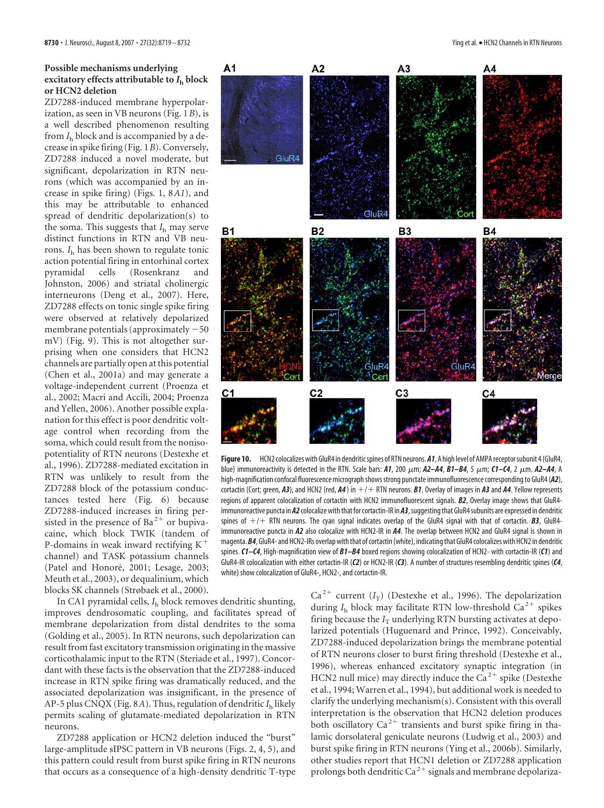## **Possible mechanisms underlying excitatory effects attributable to**  $I_h$  **block or HCN2 deletion**

ZD7288-induced membrane hyperpolarization, as seen in VB neurons (Fig. 1*B*), is a well described phenomenon resulting from *I*<sup>h</sup> block and is accompanied by a decrease in spike firing (Fig. 1*B*). Conversely, ZD7288 induced a novel moderate, but significant, depolarization in RTN neurons (which was accompanied by an increase in spike firing) (Figs. 1, 8*A1*), and this may be attributable to enhanced spread of dendritic depolarization(s) to the soma. This suggests that *I*<sup>h</sup> may serve distinct functions in RTN and VB neurons. *I*<sup>h</sup> has been shown to regulate tonic action potential firing in entorhinal cortex pyramidal cells (Rosenkranz and Johnston, 2006) and striatal cholinergic interneurons (Deng et al., 2007). Here, ZD7288 effects on tonic single spike firing were observed at relatively depolarized membrane potentials (approximately -50 mV) (Fig. 9). This is not altogether surprising when one considers that HCN2 channels are partially open at this potential (Chen et al., 2001a) and may generate a voltage-independent current (Proenza et al., 2002; Macri and Accili, 2004; Proenza and Yellen, 2006). Another possible explanation for this effect is poor dendritic voltage control when recording from the soma, which could result from the nonisopotentiality of RTN neurons (Destexhe et al., 1996). ZD7288-mediated excitation in RTN was unlikely to result from the ZD7288 block of the potassium conductances tested here (Fig. 6) because ZD7288-induced increases in firing persisted in the presence of  $Ba^{2+}$  or bupivacaine, which block TWIK (tandem of P-domains in weak inward rectifying K channel) and TASK potassium channels (Patel and Honoré, 2001; Lesage, 2003; Meuth et al., 2003), or dequalinium, which blocks SK channels (Strøbaek et al., 2000).

In CA1 pyramidal cells, *I*<sup>h</sup> block removes dendritic shunting, improves dendrosomatic coupling, and facilitates spread of membrane depolarization from distal dendrites to the soma (Golding et al., 2005). In RTN neurons, such depolarization can result from fast excitatory transmission originating in the massive corticothalamic input to the RTN (Steriade et al., 1997). Concordant with these facts is the observation that the ZD7288-induced increase in RTN spike firing was dramatically reduced, and the associated depolarization was insignificant, in the presence of AP-5 plus CNQX (Fig. 8*A*). Thus, regulation of dendritic *I*<sup>h</sup> likely permits scaling of glutamate-mediated depolarization in RTN neurons.

ZD7288 application or HCN2 deletion induced the "burst" large-amplitude sIPSC pattern in VB neurons (Figs. 2, 4, 5), and this pattern could result from burst spike firing in RTN neurons that occurs as a consequence of a high-density dendritic T-type



**Figure 10.** HCN2 colocalizes with GluR4 in dendriticspines of RTN neurons. *A1*, A high level of AMPAreceptorsubunit 4(GluR4, blue) immunoreactivity is detected in the RTN. Scale bars:  $A1$ , 200  $\mu$ m;  $A2-A4$ ,  $B1-B4$ ,  $5 \mu$ m;  $C1-C4$ , 2  $\mu$ m.  $A2-A4$ , A high-magnification confocal fluorescence micrograph shows strong punctate immunofluorescence corresponding to GluR4 (A2), cortactin (Cort; green,  $A3$ ), and HCN2 (red,  $A4$ ) in  $+/-$  RTN neurons.  $B1$ , Overlay of images in  $A3$  and  $A4$ . Yellow represents regions of apparent colocalization of cortactin with HCN2 immunofluorescent signals. *B2*, Overlay image shows that GluR4 immunoreactive puncta in *A2* colocalize with that for cortactin-IR in *A3*, suggesting that GluR4 subunits are expressed in dendritic spines of  $+/+$  RTN neurons. The cyan signal indicates overlap of the GluR4 signal with that of cortactin. **B3**, GluR4immunoreactive puncta in *A2* also colocalize with HCN2-IR in *A4*. The overlap between HCN2 and GluR4 signal is shown in magenta. **B4**, GluR4- and HCN2-IRs overlap with that of cortactin (white), indicating that GluR4 colocalizes with HCN2 in dendritic spines. *C1–C4*, High-magnification view of *B1–B4* boxed regions showing colocalization of HCN2- with cortactin-IR (*C1*) and GluR4-IR colocalization with either cortactin-IR (*C2*) or HCN2-IR (*C3*). A number of structures resembling dendritic spines (*C4*, white) show colocalization of GluR4-, HCN2-, and cortactin-IR.

 $Ca^{2+}$  current ( $I_T$ ) (Destexhe et al., 1996). The depolarization during *I*<sub>h</sub> block may facilitate RTN low-threshold Ca<sup>2+</sup> spikes firing because the  $I_T$  underlying RTN bursting activates at depolarized potentials (Huguenard and Prince, 1992). Conceivably, ZD7288-induced depolarization brings the membrane potential of RTN neurons closer to burst firing threshold (Destexhe et al., 1996), whereas enhanced excitatory synaptic integration (in HCN2 null mice) may directly induce the  $Ca<sup>2+</sup>$  spike (Destexhe et al., 1994; Warren et al., 1994), but additional work is needed to clarify the underlying mechanism(s). Consistent with this overall interpretation is the observation that HCN2 deletion produces both oscillatory  $Ca^{2+}$  transients and burst spike firing in thalamic dorsolateral geniculate neurons (Ludwig et al., 2003) and burst spike firing in RTN neurons (Ying et al., 2006b). Similarly, other studies report that HCN1 deletion or ZD7288 application prolongs both dendritic Ca<sup>2+</sup> signals and membrane depolariza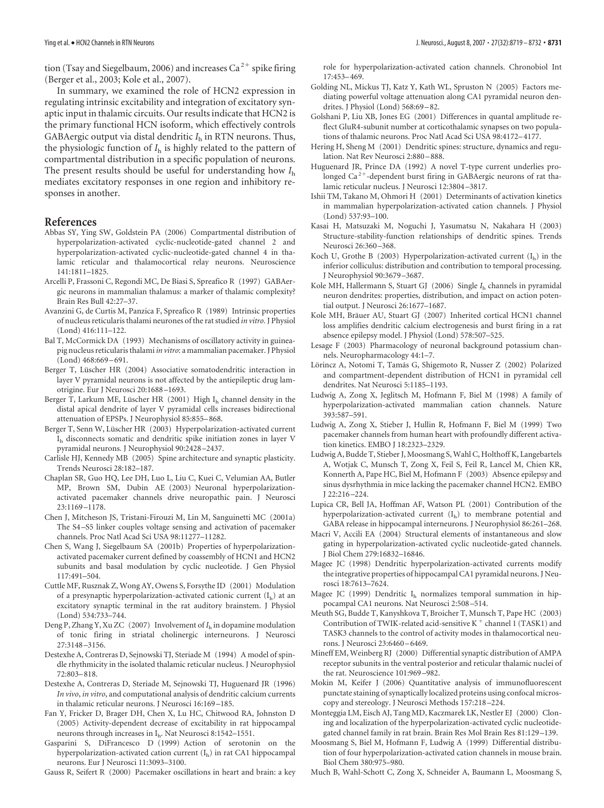tion (Tsay and Siegelbaum, 2006) and increases Ca<sup>2+</sup> spike firing (Berger et al., 2003; Kole et al., 2007).

In summary, we examined the role of HCN2 expression in regulating intrinsic excitability and integration of excitatory synaptic input in thalamic circuits. Our results indicate that HCN2 is the primary functional HCN isoform, which effectively controls GABAergic output via distal dendritic *I*<sup>h</sup> in RTN neurons. Thus, the physiologic function of *I*<sup>h</sup> is highly related to the pattern of compartmental distribution in a specific population of neurons. The present results should be useful for understanding how *I*<sup>h</sup> mediates excitatory responses in one region and inhibitory responses in another.

#### **References**

- Abbas SY, Ying SW, Goldstein PA (2006) Compartmental distribution of hyperpolarization-activated cyclic-nucleotide-gated channel 2 and hyperpolarization-activated cyclic-nucleotide-gated channel 4 in thalamic reticular and thalamocortical relay neurons. Neuroscience 141:1811–1825.
- Arcelli P, Frassoni C, Regondi MC, De Biasi S, Spreafico R (1997) GABAergic neurons in mammalian thalamus: a marker of thalamic complexity? Brain Res Bull 42:27–37.
- Avanzini G, de Curtis M, Panzica F, Spreafico R (1989) Intrinsic properties of nucleus reticularis thalami neurones of the rat studied *in vitro.* J Physiol (Lond) 416:111–122.
- Bal T, McCormick DA (1993) Mechanisms of oscillatory activity in guineapig nucleus reticularis thalami *in vitro*: a mammalian pacemaker. J Physiol (Lond) 468:669 –691.
- Berger T, Lüscher HR (2004) Associative somatodendritic interaction in layer V pyramidal neurons is not affected by the antiepileptic drug lamotrigine. Eur J Neurosci 20:1688 –1693.
- Berger T, Larkum ME, Lüscher HR (2001) High  $I<sub>h</sub>$  channel density in the distal apical dendrite of layer V pyramidal cells increases bidirectional attenuation of EPSPs. J Neurophysiol 85:855–868.
- Berger T, Senn W, Lüscher HR (2003) Hyperpolarization-activated current Ih disconnects somatic and dendritic spike initiation zones in layer V pyramidal neurons. J Neurophysiol 90:2428 –2437.
- Carlisle HJ, Kennedy MB (2005) Spine architecture and synaptic plasticity. Trends Neurosci 28:182–187.
- Chaplan SR, Guo HQ, Lee DH, Luo L, Liu C, Kuei C, Velumian AA, Butler MP, Brown SM, Dubin AE (2003) Neuronal hyperpolarizationactivated pacemaker channels drive neuropathic pain. J Neurosci 23:1169 –1178.
- Chen J, Mitcheson JS, Tristani-Firouzi M, Lin M, Sanguinetti MC (2001a) The S4 –S5 linker couples voltage sensing and activation of pacemaker channels. Proc Natl Acad Sci USA 98:11277–11282.
- Chen S, Wang J, Siegelbaum SA (2001b) Properties of hyperpolarizationactivated pacemaker current defined by coassembly of HCN1 and HCN2 subunits and basal modulation by cyclic nucleotide. J Gen Physiol 117:491–504.
- Cuttle MF, Rusznak Z, Wong AY, Owens S, Forsythe ID (2001) Modulation of a presynaptic hyperpolarization-activated cationic current  $(I_h)$  at an excitatory synaptic terminal in the rat auditory brainstem. J Physiol (Lond) 534:733–744.
- Deng P, Zhang Y, Xu ZC (2007) Involvement of *I*<sup>h</sup> in dopamine modulation of tonic firing in striatal cholinergic interneurons. J Neurosci 27:3148 –3156.
- Destexhe A, Contreras D, Sejnowski TJ, Steriade M (1994) A model of spindle rhythmicity in the isolated thalamic reticular nucleus. J Neurophysiol 72:803–818.
- Destexhe A, Contreras D, Steriade M, Sejnowski TJ, Huguenard JR (1996) *In vivo*, *in vitro*, and computational analysis of dendritic calcium currents in thalamic reticular neurons. J Neurosci 16:169 –185.
- Fan Y, Fricker D, Brager DH, Chen X, Lu HC, Chitwood RA, Johnston D (2005) Activity-dependent decrease of excitability in rat hippocampal neurons through increases in Ih. Nat Neurosci 8:1542–1551.
- Gasparini S, DiFrancesco D (1999) Action of serotonin on the hyperpolarization-activated cation current  $(I_h)$  in rat CA1 hippocampal neurons. Eur J Neurosci 11:3093–3100.

Gauss R, Seifert R (2000) Pacemaker oscillations in heart and brain: a key

role for hyperpolarization-activated cation channels. Chronobiol Int 17:453–469.

- Golding NL, Mickus TJ, Katz Y, Kath WL, Spruston N (2005) Factors mediating powerful voltage attenuation along CA1 pyramidal neuron dendrites. J Physiol (Lond) 568:69 –82.
- Golshani P, Liu XB, Jones EG (2001) Differences in quantal amplitude reflect GluR4-subunit number at corticothalamic synapses on two populations of thalamic neurons. Proc Natl Acad Sci USA 98:4172–4177.
- Hering H, Sheng M (2001) Dendritic spines: structure, dynamics and regulation. Nat Rev Neurosci 2:880 –888.
- Huguenard JR, Prince DA (1992) A novel T-type current underlies prolonged Ca<sup>2+</sup>-dependent burst firing in GABAergic neurons of rat thalamic reticular nucleus. J Neurosci 12:3804 –3817.
- Ishii TM, Takano M, Ohmori H (2001) Determinants of activation kinetics in mammalian hyperpolarization-activated cation channels. J Physiol (Lond) 537:93–100.
- Kasai H, Matsuzaki M, Noguchi J, Yasumatsu N, Nakahara H (2003) Structure-stability-function relationships of dendritic spines. Trends Neurosci 26:360 –368.
- Koch U, Grothe B (2003) Hyperpolarization-activated current  $(I_h)$  in the inferior colliculus: distribution and contribution to temporal processing. J Neurophysiol 90:3679 –3687.
- Kole MH, Hallermann S, Stuart GJ (2006) Single *I*<sup>h</sup> channels in pyramidal neuron dendrites: properties, distribution, and impact on action potential output. J Neurosci 26:1677–1687.
- Kole MH, Bräuer AU, Stuart GJ (2007) Inherited cortical HCN1 channel loss amplifies dendritic calcium electrogenesis and burst firing in a rat absence epilepsy model. J Physiol (Lond) 578:507–525.
- Lesage F (2003) Pharmacology of neuronal background potassium channels. Neuropharmacology 44:1–7.
- Lörincz A, Notomi T, Tamás G, Shigemoto R, Nusser Z (2002) Polarized and compartment-dependent distribution of HCN1 in pyramidal cell dendrites. Nat Neurosci 5:1185–1193.
- Ludwig A, Zong X, Jeglitsch M, Hofmann F, Biel M (1998) A family of hyperpolarization-activated mammalian cation channels. Nature 393:587–591.
- Ludwig A, Zong X, Stieber J, Hullin R, Hofmann F, Biel M (1999) Two pacemaker channels from human heart with profoundly different activation kinetics. EMBO J 18:2323–2329.
- Ludwig A, Budde T, Stieber J, Moosmang S, Wahl C, Holthoff K, Langebartels A, Wotjak C, Munsch T, Zong X, Feil S, Feil R, Lancel M, Chien KR, Konnerth A, Pape HC, Biel M, Hofmann F (2003) Absence epilepsy and sinus dysrhythmia in mice lacking the pacemaker channel HCN2. EMBO J 22:216 –224.
- Lupica CR, Bell JA, Hoffman AF, Watson PL (2001) Contribution of the hyperpolarization-activated current  $(I<sub>b</sub>)$  to membrane potential and GABA release in hippocampal interneurons. J Neurophysiol 86:261–268.
- Macri V, Accili EA (2004) Structural elements of instantaneous and slow gating in hyperpolarization-activated cyclic nucleotide-gated channels. J Biol Chem 279:16832–16846.
- Magee JC (1998) Dendritic hyperpolarization-activated currents modify the integrative properties of hippocampal CA1 pyramidal neurons. J Neurosci 18:7613–7624.
- Magee JC (1999) Dendritic  $I_h$  normalizes temporal summation in hippocampal CA1 neurons. Nat Neurosci 2:508 –514.
- Meuth SG, Budde T, Kanyshkova T, Broicher T, Munsch T, Pape HC (2003) Contribution of TWIK-related acid-sensitive K  $^+$  channel 1 (TASK1) and TASK3 channels to the control of activity modes in thalamocortical neurons. J Neurosci 23:6460 –6469.
- Mineff EM, Weinberg RJ (2000) Differential synaptic distribution of AMPA receptor subunits in the ventral posterior and reticular thalamic nuclei of the rat. Neuroscience 101:969 –982.
- Mokin M, Keifer J (2006) Quantitative analysis of immunofluorescent punctate staining of synaptically localized proteins using confocal microscopy and stereology. J Neurosci Methods 157:218 –224.
- Monteggia LM, Eisch AJ, Tang MD, Kaczmarek LK, Nestler EJ (2000) Cloning and localization of the hyperpolarization-activated cyclic nucleotidegated channel family in rat brain. Brain Res Mol Brain Res 81:129 –139.
- Moosmang S, Biel M, Hofmann F, Ludwig A (1999) Differential distribution of four hyperpolarization-activated cation channels in mouse brain. Biol Chem 380:975–980.
- Much B, Wahl-Schott C, Zong X, Schneider A, Baumann L, Moosmang S,